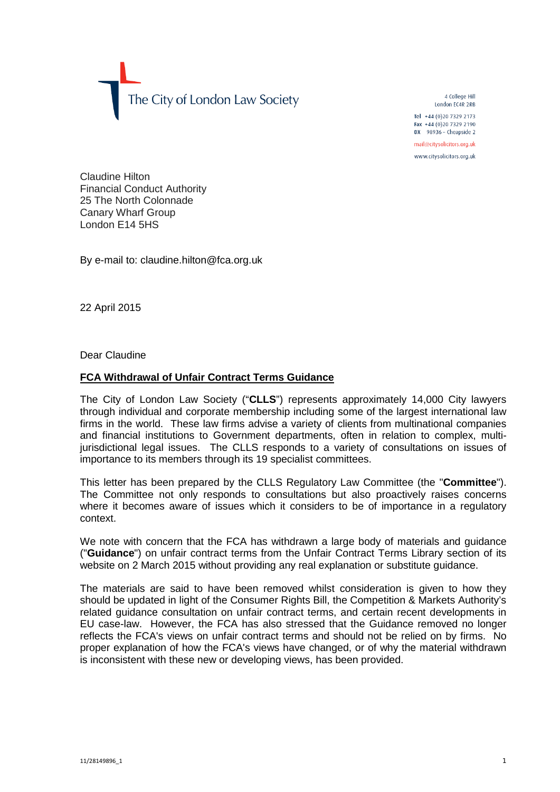The City of London Law Society

4 College Hill London FC4R 2RB

Tel +44 (0)20 7329 2173 Fax +44 (0) 20 7329 2190 DX  $98936$  - Cheapside 2

mail@citysolicitors.org.uk

www.citysolicitors.org.uk

Claudine Hilton Financial Conduct Authority 25 The North Colonnade Canary Wharf Group London E14 5HS

By e-mail to: claudine.hilton@fca.org.uk

22 April 2015

Dear Claudine

## **FCA Withdrawal of Unfair Contract Terms Guidance**

The City of London Law Society ("**CLLS**") represents approximately 14,000 City lawyers through individual and corporate membership including some of the largest international law firms in the world. These law firms advise a variety of clients from multinational companies and financial institutions to Government departments, often in relation to complex, multijurisdictional legal issues. The CLLS responds to a variety of consultations on issues of importance to its members through its 19 specialist committees.

This letter has been prepared by the CLLS Regulatory Law Committee (the "**Committee**"). The Committee not only responds to consultations but also proactively raises concerns where it becomes aware of issues which it considers to be of importance in a regulatory context.

We note with concern that the FCA has withdrawn a large body of materials and guidance ("**Guidance**") on unfair contract terms from the Unfair Contract Terms Library section of its website on 2 March 2015 without providing any real explanation or substitute guidance.

The materials are said to have been removed whilst consideration is given to how they should be updated in light of the Consumer Rights Bill, the Competition & Markets Authority's related guidance consultation on unfair contract terms, and certain recent developments in EU case-law. However, the FCA has also stressed that the Guidance removed no longer reflects the FCA's views on unfair contract terms and should not be relied on by firms. No proper explanation of how the FCA's views have changed, or of why the material withdrawn is inconsistent with these new or developing views, has been provided.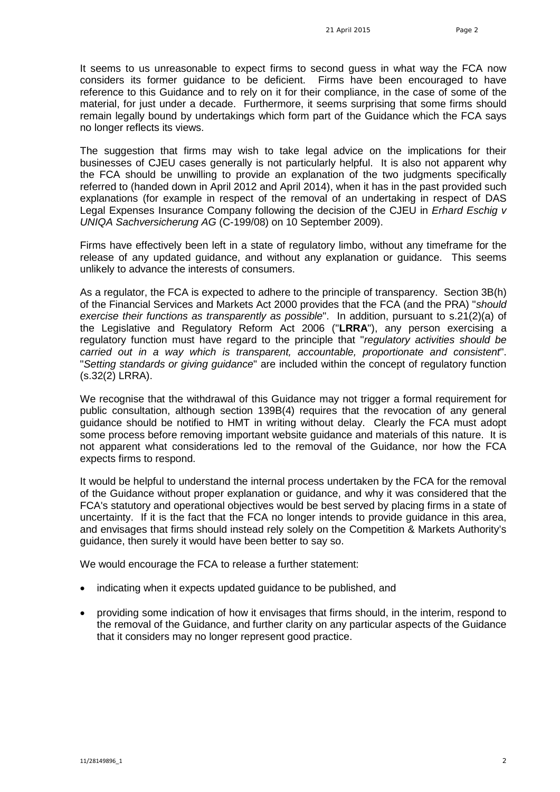It seems to us unreasonable to expect firms to second guess in what way the FCA now considers its former guidance to be deficient. Firms have been encouraged to have reference to this Guidance and to rely on it for their compliance, in the case of some of the material, for just under a decade. Furthermore, it seems surprising that some firms should remain legally bound by undertakings which form part of the Guidance which the FCA says no longer reflects its views.

The suggestion that firms may wish to take legal advice on the implications for their businesses of CJEU cases generally is not particularly helpful. It is also not apparent why the FCA should be unwilling to provide an explanation of the two judgments specifically referred to (handed down in April 2012 and April 2014), when it has in the past provided such explanations (for example in respect of the removal of an undertaking in respect of DAS Legal Expenses Insurance Company following the decision of the CJEU in *Erhard Eschig v UNIQA Sachversicherung AG* (C-199/08) on 10 September 2009).

Firms have effectively been left in a state of regulatory limbo, without any timeframe for the release of any updated guidance, and without any explanation or guidance. This seems unlikely to advance the interests of consumers.

As a regulator, the FCA is expected to adhere to the principle of transparency. Section 3B(h) of the Financial Services and Markets Act 2000 provides that the FCA (and the PRA) "*should exercise their functions as transparently as possible*". In addition, pursuant to s.21(2)(a) of the Legislative and Regulatory Reform Act 2006 ("**LRRA**"), any person exercising a regulatory function must have regard to the principle that "*regulatory activities should be carried out in a way which is transparent, accountable, proportionate and consistent*". "*Setting standards or giving guidance*" are included within the concept of regulatory function (s.32(2) LRRA).

We recognise that the withdrawal of this Guidance may not trigger a formal requirement for public consultation, although section 139B(4) requires that the revocation of any general guidance should be notified to HMT in writing without delay. Clearly the FCA must adopt some process before removing important website guidance and materials of this nature. It is not apparent what considerations led to the removal of the Guidance, nor how the FCA expects firms to respond.

It would be helpful to understand the internal process undertaken by the FCA for the removal of the Guidance without proper explanation or guidance, and why it was considered that the FCA's statutory and operational objectives would be best served by placing firms in a state of uncertainty. If it is the fact that the FCA no longer intends to provide guidance in this area, and envisages that firms should instead rely solely on the Competition & Markets Authority's guidance, then surely it would have been better to say so.

We would encourage the FCA to release a further statement:

- indicating when it expects updated guidance to be published, and
- providing some indication of how it envisages that firms should, in the interim, respond to the removal of the Guidance, and further clarity on any particular aspects of the Guidance that it considers may no longer represent good practice.